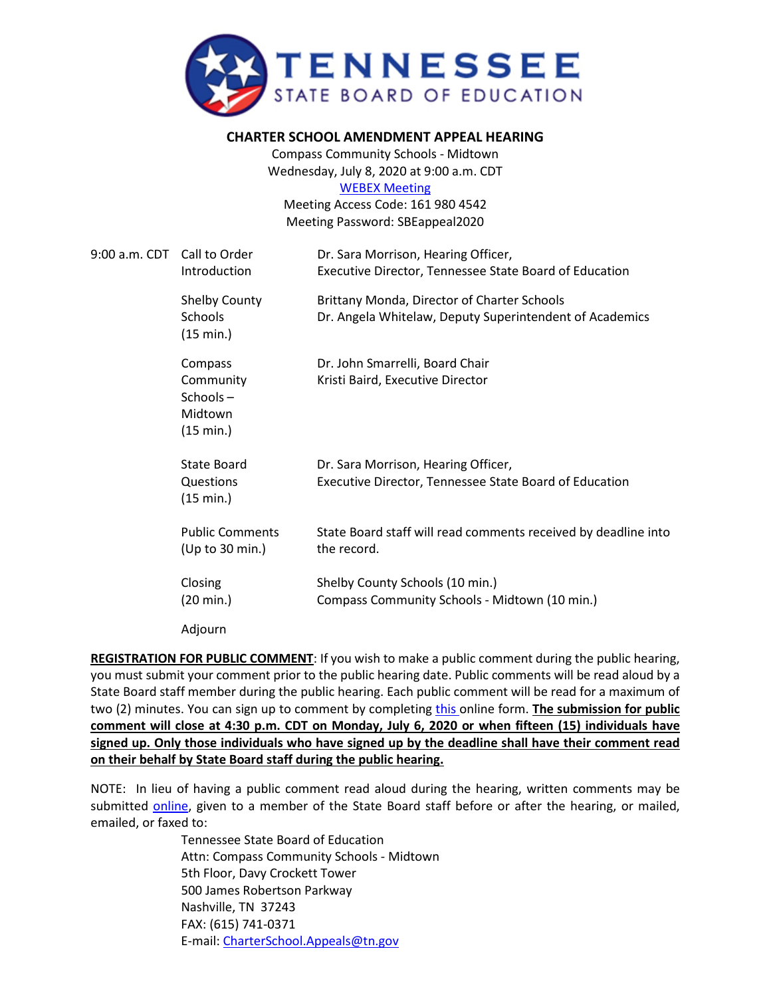

## **CHARTER SCHOOL AMENDMENT APPEAL HEARING**

Compass Community Schools - Midtown Wednesday, July 8, 2020 at 9:00 a.m. CDT [WEBEX Meeting](https://tngov.webex.com/tngov/onstage/g.php?MTID=ea3cf36765bddb0bb8e53a9b8c44c40c8)

Meeting Access Code: 161 980 4542 Meeting Password: SBEappeal2020

| 9:00 a.m. CDT Call to Order | Introduction                                             | Dr. Sara Morrison, Hearing Officer,<br>Executive Director, Tennessee State Board of Education          |
|-----------------------------|----------------------------------------------------------|--------------------------------------------------------------------------------------------------------|
|                             | <b>Shelby County</b><br>Schools<br>(15 min.)             | Brittany Monda, Director of Charter Schools<br>Dr. Angela Whitelaw, Deputy Superintendent of Academics |
|                             | Compass<br>Community<br>Schools-<br>Midtown<br>(15 min.) | Dr. John Smarrelli, Board Chair<br>Kristi Baird, Executive Director                                    |
|                             | State Board<br>Questions<br>(15 min.)                    | Dr. Sara Morrison, Hearing Officer,<br>Executive Director, Tennessee State Board of Education          |
|                             | <b>Public Comments</b><br>(Up to 30 min.)                | State Board staff will read comments received by deadline into<br>the record.                          |
|                             | Closing<br>(20 min.)                                     | Shelby County Schools (10 min.)<br>Compass Community Schools - Midtown (10 min.)                       |
|                             | Adjourn                                                  |                                                                                                        |

**REGISTRATION FOR PUBLIC COMMENT**: If you wish to make a public comment during the public hearing, you must submit your comment prior to the public hearing date. Public comments will be read aloud by a State Board staff member during the public hearing. Each public comment will be read for a maximum of two (2) minutes. You can sign up to comment by completing [this o](https://stateoftennessee.formstack.com/forms/signup_for_public_comment_compass_midtown_public_hearing)nline form. **The submission for public comment will close at 4:30 p.m. CDT on Monday, July 6, 2020 or when fifteen (15) individuals have signed up. Only those individuals who have signed up by the deadline shall have their comment read on their behalf by State Board staff during the public hearing.** 

NOTE: In lieu of having a public comment read aloud during the hearing, written comments may be submitted [online,](https://stateoftennessee.formstack.com/forms/charter_school_appeals_written_public_comment_for_compass_midtown) given to a member of the State Board staff before or after the hearing, or mailed, emailed, or faxed to:

> Tennessee State Board of Education Attn: Compass Community Schools - Midtown 5th Floor, Davy Crockett Tower 500 James Robertson Parkway Nashville, TN 37243 FAX: (615) 741-0371 E-mail: [CharterSchool.Appeals@tn.gov](mailto:CharterSchool.Appeals@tn.gov)